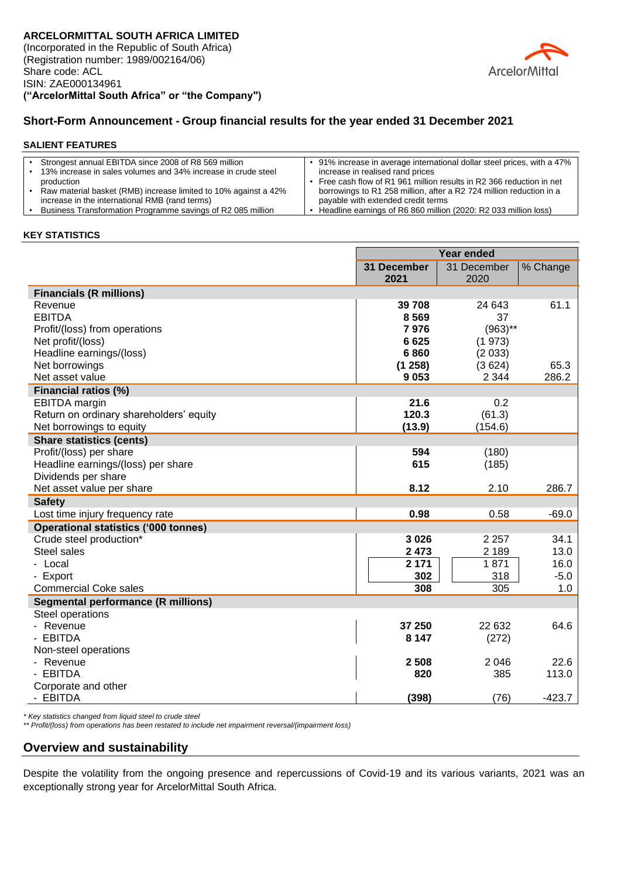

### **Short-Form Announcement - Group financial results for the year ended 31 December 2021**

#### **SALIENT FEATURES**

| Strongest annual EBITDA since 2008 of R8 569 million            | 91% increase in average international dollar steel prices, with a 47% |
|-----------------------------------------------------------------|-----------------------------------------------------------------------|
| 13% increase in sales volumes and 34% increase in crude steel   | increase in realised rand prices                                      |
| production                                                      | Free cash flow of R1 961 million results in R2 366 reduction in net   |
| Raw material basket (RMB) increase limited to 10% against a 42% | borrowings to R1 258 million, after a R2 724 million reduction in a   |
| increase in the international RMB (rand terms)                  | payable with extended credit terms                                    |
| Business Transformation Programme savings of R2 085 million     | Headline earnings of R6 860 million (2020: R2 033 million loss)       |

### **KEY STATISTICS**

|                                             | <b>Year ended</b> |                |               |
|---------------------------------------------|-------------------|----------------|---------------|
|                                             | 31 December       | 31 December    | % Change      |
|                                             | 2021              | 2020           |               |
| <b>Financials (R millions)</b>              |                   |                |               |
| Revenue                                     | 39 708            | 24 643         | 61.1          |
| <b>EBITDA</b>                               | 8569              | 37             |               |
| Profit/(loss) from operations               | 7976              | $(963)$ **     |               |
| Net profit/(loss)                           | 6625              | (1973)         |               |
| Headline earnings/(loss)                    | 6860              | (2033)         |               |
| Net borrowings                              | (1258)            | (3624)         | 65.3          |
| Net asset value                             | 9053              | 2 3 4 4        | 286.2         |
| Financial ratios (%)                        |                   |                |               |
| <b>EBITDA</b> margin                        | 21.6              | 0.2            |               |
| Return on ordinary shareholders' equity     | 120.3             | (61.3)         |               |
| Net borrowings to equity                    | (13.9)            | (154.6)        |               |
| <b>Share statistics (cents)</b>             |                   |                |               |
| Profit/(loss) per share                     | 594               | (180)          |               |
| Headline earnings/(loss) per share          | 615               | (185)          |               |
| Dividends per share                         |                   |                |               |
| Net asset value per share                   | 8.12              | 2.10           | 286.7         |
| <b>Safety</b>                               |                   |                |               |
| Lost time injury frequency rate             | 0.98              | 0.58           | $-69.0$       |
| <b>Operational statistics ('000 tonnes)</b> |                   |                |               |
| Crude steel production*                     | 3 0 26            | 2 2 5 7        | 34.1          |
| Steel sales                                 | 2 4 7 3           | 2 1 8 9        | 13.0          |
| - Local                                     | 2 1 7 1           | 1871           | 16.0          |
| - Export                                    | 302               | 318            | $-5.0$        |
| <b>Commercial Coke sales</b>                | 308               | 305            | 1.0           |
| <b>Segmental performance (R millions)</b>   |                   |                |               |
| Steel operations                            |                   |                |               |
| - Revenue                                   | 37 250            | 22 632         | 64.6          |
| - EBITDA                                    | 8 1 4 7           | (272)          |               |
| Non-steel operations                        |                   |                |               |
| - Revenue<br>- EBITDA                       | 2 5 0 8<br>820    | 2 0 4 6<br>385 | 22.6<br>113.0 |
|                                             |                   |                |               |
| Corporate and other<br>- EBITDA             | (398)             | (76)           | $-423.7$      |
|                                             |                   |                |               |

*\* Key statistics changed from liquid steel to crude steel* 

*\*\* Profit/(loss) from operations has been restated to include net impairment reversal/(impairment loss)*

### **Overview and sustainability**

Despite the volatility from the ongoing presence and repercussions of Covid-19 and its various variants, 2021 was an exceptionally strong year for ArcelorMittal South Africa.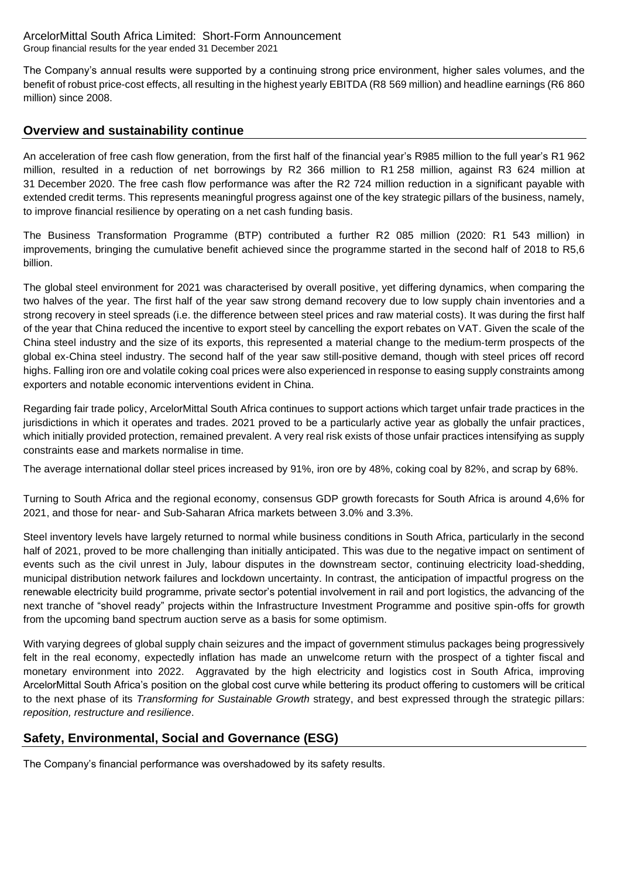The Company's annual results were supported by a continuing strong price environment, higher sales volumes, and the benefit of robust price-cost effects, all resulting in the highest yearly EBITDA (R8 569 million) and headline earnings (R6 860 million) since 2008.

# **Overview and sustainability continue**

An acceleration of free cash flow generation, from the first half of the financial year's R985 million to the full year's R1 962 million, resulted in a reduction of net borrowings by R2 366 million to R1 258 million, against R3 624 million at 31 December 2020. The free cash flow performance was after the R2 724 million reduction in a significant payable with extended credit terms. This represents meaningful progress against one of the key strategic pillars of the business, namely, to improve financial resilience by operating on a net cash funding basis.

The Business Transformation Programme (BTP) contributed a further R2 085 million (2020: R1 543 million) in improvements, bringing the cumulative benefit achieved since the programme started in the second half of 2018 to R5,6 billion.

The global steel environment for 2021 was characterised by overall positive, yet differing dynamics, when comparing the two halves of the year. The first half of the year saw strong demand recovery due to low supply chain inventories and a strong recovery in steel spreads (i.e. the difference between steel prices and raw material costs). It was during the first half of the year that China reduced the incentive to export steel by cancelling the export rebates on VAT. Given the scale of the China steel industry and the size of its exports, this represented a material change to the medium‐term prospects of the global ex‐China steel industry. The second half of the year saw still-positive demand, though with steel prices off record highs. Falling iron ore and volatile coking coal prices were also experienced in response to easing supply constraints among exporters and notable economic interventions evident in China.

Regarding fair trade policy, ArcelorMittal South Africa continues to support actions which target unfair trade practices in the jurisdictions in which it operates and trades. 2021 proved to be a particularly active year as globally the unfair practices, which initially provided protection, remained prevalent. A very real risk exists of those unfair practices intensifying as supply constraints ease and markets normalise in time.

The average international dollar steel prices increased by 91%, iron ore by 48%, coking coal by 82%, and scrap by 68%.

Turning to South Africa and the regional economy, consensus GDP growth forecasts for South Africa is around 4,6% for 2021, and those for near- and Sub-Saharan Africa markets between 3.0% and 3.3%.

Steel inventory levels have largely returned to normal while business conditions in South Africa, particularly in the second half of 2021, proved to be more challenging than initially anticipated. This was due to the negative impact on sentiment of events such as the civil unrest in July, labour disputes in the downstream sector, continuing electricity load-shedding, municipal distribution network failures and lockdown uncertainty. In contrast, the anticipation of impactful progress on the renewable electricity build programme, private sector's potential involvement in rail and port logistics, the advancing of the next tranche of "shovel ready" projects within the Infrastructure Investment Programme and positive spin-offs for growth from the upcoming band spectrum auction serve as a basis for some optimism.

With varying degrees of global supply chain seizures and the impact of government stimulus packages being progressively felt in the real economy, expectedly inflation has made an unwelcome return with the prospect of a tighter fiscal and monetary environment into 2022. Aggravated by the high electricity and logistics cost in South Africa, improving ArcelorMittal South Africa's position on the global cost curve while bettering its product offering to customers will be critical to the next phase of its *Transforming for Sustainable Growth* strategy, and best expressed through the strategic pillars: *reposition, restructure and resilience*.

# **Safety, Environmental, Social and Governance (ESG)**

The Company's financial performance was overshadowed by its safety results.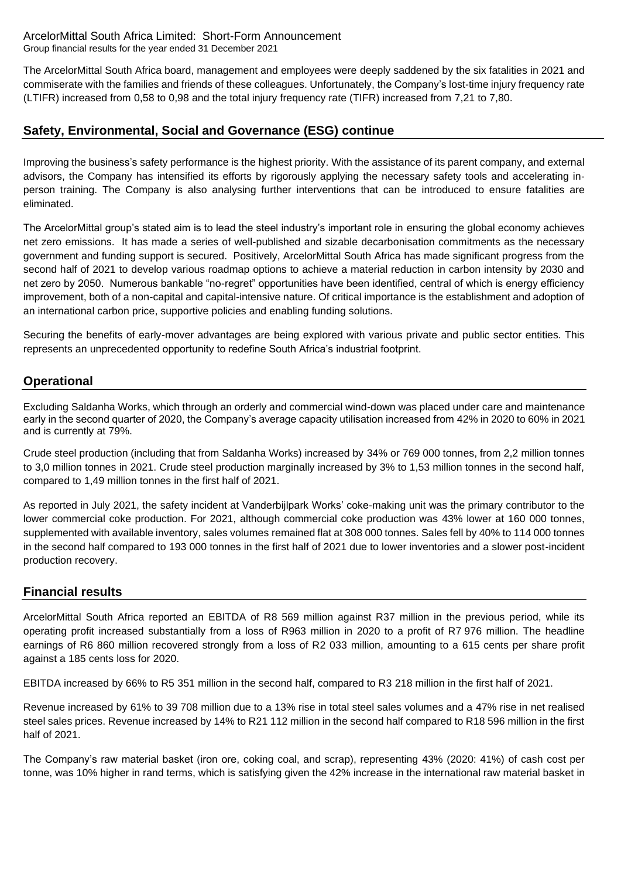The ArcelorMittal South Africa board, management and employees were deeply saddened by the six fatalities in 2021 and commiserate with the families and friends of these colleagues. Unfortunately, the Company's lost-time injury frequency rate (LTIFR) increased from 0,58 to 0,98 and the total injury frequency rate (TIFR) increased from 7,21 to 7,80.

# **Safety, Environmental, Social and Governance (ESG) continue**

Improving the business's safety performance is the highest priority. With the assistance of its parent company, and external advisors, the Company has intensified its efforts by rigorously applying the necessary safety tools and accelerating in‐ person training. The Company is also analysing further interventions that can be introduced to ensure fatalities are eliminated.

The ArcelorMittal group's stated aim is to lead the steel industry's important role in ensuring the global economy achieves net zero emissions. It has made a series of well-published and sizable decarbonisation commitments as the necessary government and funding support is secured. Positively, ArcelorMittal South Africa has made significant progress from the second half of 2021 to develop various roadmap options to achieve a material reduction in carbon intensity by 2030 and net zero by 2050. Numerous bankable "no-regret" opportunities have been identified, central of which is energy efficiency improvement, both of a non-capital and capital-intensive nature. Of critical importance is the establishment and adoption of an international carbon price, supportive policies and enabling funding solutions.

Securing the benefits of early-mover advantages are being explored with various private and public sector entities. This represents an unprecedented opportunity to redefine South Africa's industrial footprint.

# **Operational**

Excluding Saldanha Works, which through an orderly and commercial wind-down was placed under care and maintenance early in the second quarter of 2020, the Company's average capacity utilisation increased from 42% in 2020 to 60% in 2021 and is currently at 79%.

Crude steel production (including that from Saldanha Works) increased by 34% or 769 000 tonnes, from 2,2 million tonnes to 3,0 million tonnes in 2021. Crude steel production marginally increased by 3% to 1,53 million tonnes in the second half, compared to 1,49 million tonnes in the first half of 2021.

As reported in July 2021, the safety incident at Vanderbijlpark Works' coke-making unit was the primary contributor to the lower commercial coke production. For 2021, although commercial coke production was 43% lower at 160 000 tonnes, supplemented with available inventory, sales volumes remained flat at 308 000 tonnes. Sales fell by 40% to 114 000 tonnes in the second half compared to 193 000 tonnes in the first half of 2021 due to lower inventories and a slower post-incident production recovery.

### **Financial results**

ArcelorMittal South Africa reported an EBITDA of R8 569 million against R37 million in the previous period, while its operating profit increased substantially from a loss of R963 million in 2020 to a profit of R7 976 million. The headline earnings of R6 860 million recovered strongly from a loss of R2 033 million, amounting to a 615 cents per share profit against a 185 cents loss for 2020.

EBITDA increased by 66% to R5 351 million in the second half, compared to R3 218 million in the first half of 2021.

Revenue increased by 61% to 39 708 million due to a 13% rise in total steel sales volumes and a 47% rise in net realised steel sales prices. Revenue increased by 14% to R21 112 million in the second half compared to R18 596 million in the first half of 2021.

The Company's raw material basket (iron ore, coking coal, and scrap), representing 43% (2020: 41%) of cash cost per tonne, was 10% higher in rand terms, which is satisfying given the 42% increase in the international raw material basket in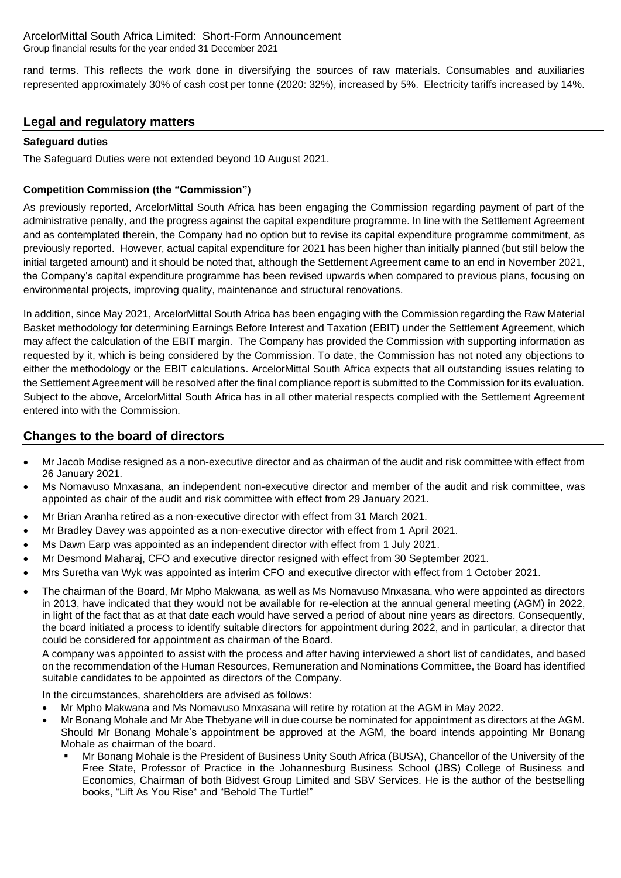rand terms. This reflects the work done in diversifying the sources of raw materials. Consumables and auxiliaries represented approximately 30% of cash cost per tonne (2020: 32%), increased by 5%. Electricity tariffs increased by 14%.

## **Legal and regulatory matters**

### **Safeguard duties**

The Safeguard Duties were not extended beyond 10 August 2021.

### **Competition Commission (the "Commission")**

As previously reported, ArcelorMittal South Africa has been engaging the Commission regarding payment of part of the administrative penalty, and the progress against the capital expenditure programme. In line with the Settlement Agreement and as contemplated therein, the Company had no option but to revise its capital expenditure programme commitment, as previously reported. However, actual capital expenditure for 2021 has been higher than initially planned (but still below the initial targeted amount) and it should be noted that, although the Settlement Agreement came to an end in November 2021, the Company's capital expenditure programme has been revised upwards when compared to previous plans, focusing on environmental projects, improving quality, maintenance and structural renovations.

In addition, since May 2021, ArcelorMittal South Africa has been engaging with the Commission regarding the Raw Material Basket methodology for determining Earnings Before Interest and Taxation (EBIT) under the Settlement Agreement, which may affect the calculation of the EBIT margin. The Company has provided the Commission with supporting information as requested by it, which is being considered by the Commission. To date, the Commission has not noted any objections to either the methodology or the EBIT calculations. ArcelorMittal South Africa expects that all outstanding issues relating to the Settlement Agreement will be resolved after the final compliance report is submitted to the Commission for its evaluation. Subject to the above, ArcelorMittal South Africa has in all other material respects complied with the Settlement Agreement entered into with the Commission.

# **Changes to the board of directors**

- Mr Jacob Modise resigned as a non-executive director and as chairman of the audit and risk committee with effect from 26 January 2021.
- Ms Nomavuso Mnxasana, an independent non-executive director and member of the audit and risk committee, was appointed as chair of the audit and risk committee with effect from 29 January 2021.
- Mr Brian Aranha retired as a non-executive director with effect from 31 March 2021.
- Mr Bradley Davey was appointed as a non-executive director with effect from 1 April 2021.
- Ms Dawn Earp was appointed as an independent director with effect from 1 July 2021.
- Mr Desmond Maharaj, CFO and executive director resigned with effect from 30 September 2021.
- Mrs Suretha van Wyk was appointed as interim CFO and executive director with effect from 1 October 2021.
- The chairman of the Board, Mr Mpho Makwana, as well as Ms Nomavuso Mnxasana, who were appointed as directors in 2013, have indicated that they would not be available for re-election at the annual general meeting (AGM) in 2022, in light of the fact that as at that date each would have served a period of about nine years as directors. Consequently, the board initiated a process to identify suitable directors for appointment during 2022, and in particular, a director that could be considered for appointment as chairman of the Board.

A company was appointed to assist with the process and after having interviewed a short list of candidates, and based on the recommendation of the Human Resources, Remuneration and Nominations Committee, the Board has identified suitable candidates to be appointed as directors of the Company.

In the circumstances, shareholders are advised as follows:

- Mr Mpho Makwana and Ms Nomavuso Mnxasana will retire by rotation at the AGM in May 2022.
- Mr Bonang Mohale and Mr Abe Thebyane will in due course be nominated for appointment as directors at the AGM. Should Mr Bonang Mohale's appointment be approved at the AGM, the board intends appointing Mr Bonang Mohale as chairman of the board.
	- Mr Bonang Mohale is the President of Business Unity South Africa (BUSA), Chancellor of the University of the Free State, Professor of Practice in the Johannesburg Business School (JBS) College of Business and Economics, Chairman of both Bidvest Group Limited and SBV Services. He is the author of the bestselling books, "Lift As You Rise" and "Behold The Turtle!"